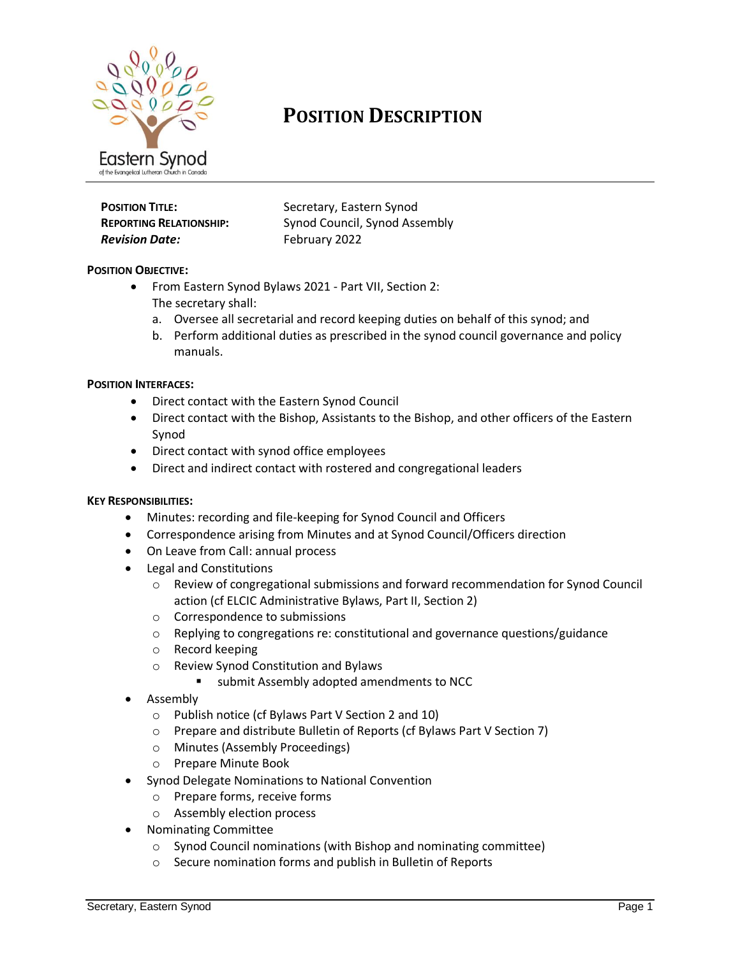

# **POSITION DESCRIPTION**

# **Revision Date:** February 2022

**POSITION TITLE:** Secretary, Eastern Synod **REPORTING RELATIONSHIP:** Synod Council, Synod Assembly

## **POSITION OBJECTIVE:**

- From Eastern Synod Bylaws 2021 Part VII, Section 2: The secretary shall:
	- a. Oversee all secretarial and record keeping duties on behalf of this synod; and
	- b. Perform additional duties as prescribed in the synod council governance and policy manuals.

#### **POSITION INTERFACES:**

- Direct contact with the Eastern Synod Council
- Direct contact with the Bishop, Assistants to the Bishop, and other officers of the Eastern Synod
- Direct contact with synod office employees
- Direct and indirect contact with rostered and congregational leaders

#### **KEY RESPONSIBILITIES:**

- Minutes: recording and file-keeping for Synod Council and Officers
- Correspondence arising from Minutes and at Synod Council/Officers direction
- On Leave from Call: annual process
- Legal and Constitutions
	- o Review of congregational submissions and forward recommendation for Synod Council action (cf ELCIC Administrative Bylaws, Part II, Section 2)
	- o Correspondence to submissions
	- $\circ$  Replying to congregations re: constitutional and governance questions/guidance
	- o Record keeping
	- o Review Synod Constitution and Bylaws
		- submit Assembly adopted amendments to NCC
- Assembly
	- o Publish notice (cf Bylaws Part V Section 2 and 10)
	- o Prepare and distribute Bulletin of Reports (cf Bylaws Part V Section 7)
	- o Minutes (Assembly Proceedings)
	- o Prepare Minute Book
- Synod Delegate Nominations to National Convention
	- o Prepare forms, receive forms
	- o Assembly election process
- Nominating Committee
	- o Synod Council nominations (with Bishop and nominating committee)
	- o Secure nomination forms and publish in Bulletin of Reports